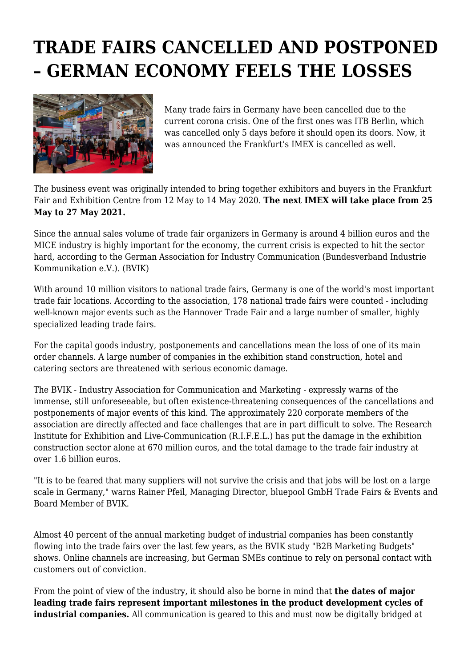## **TRADE FAIRS CANCELLED AND POSTPONED – GERMAN ECONOMY FEELS THE LOSSES**



Many trade fairs in Germany have been cancelled due to the current corona crisis. One of the first ones was ITB Berlin, which was cancelled only 5 days before it should open its doors. Now, it was announced the Frankfurt's IMEX is cancelled as well.

The business event was originally intended to bring together exhibitors and buyers in the Frankfurt Fair and Exhibition Centre from 12 May to 14 May 2020. **The next IMEX will take place from 25 May to 27 May 2021.**

Since the annual sales volume of trade fair organizers in Germany is around 4 billion euros and the MICE industry is highly important for the economy, the current crisis is expected to hit the sector hard, according to the German Association for Industry Communication (Bundesverband Industrie Kommunikation e.V.). (BVIK)

With around 10 million visitors to national trade fairs, Germany is one of the world's most important trade fair locations. According to the association, 178 national trade fairs were counted - including well-known major events such as the Hannover Trade Fair and a large number of smaller, highly specialized leading trade fairs.

For the capital goods industry, postponements and cancellations mean the loss of one of its main order channels. A large number of companies in the exhibition stand construction, hotel and catering sectors are threatened with serious economic damage.

The BVIK - Industry Association for Communication and Marketing - expressly warns of the immense, still unforeseeable, but often existence-threatening consequences of the cancellations and postponements of major events of this kind. The approximately 220 corporate members of the association are directly affected and face challenges that are in part difficult to solve. The Research Institute for Exhibition and Live-Communication (R.I.F.E.L.) has put the damage in the exhibition construction sector alone at 670 million euros, and the total damage to the trade fair industry at over 1.6 billion euros.

"It is to be feared that many suppliers will not survive the crisis and that jobs will be lost on a large scale in Germany," warns Rainer Pfeil, Managing Director, bluepool GmbH Trade Fairs & Events and Board Member of BVIK.

Almost 40 percent of the annual marketing budget of industrial companies has been constantly flowing into the trade fairs over the last few years, as the BVIK study "B2B Marketing Budgets" shows. Online channels are increasing, but German SMEs continue to rely on personal contact with customers out of conviction.

From the point of view of the industry, it should also be borne in mind that **the dates of major leading trade fairs represent important milestones in the product development cycles of industrial companies.** All communication is geared to this and must now be digitally bridged at